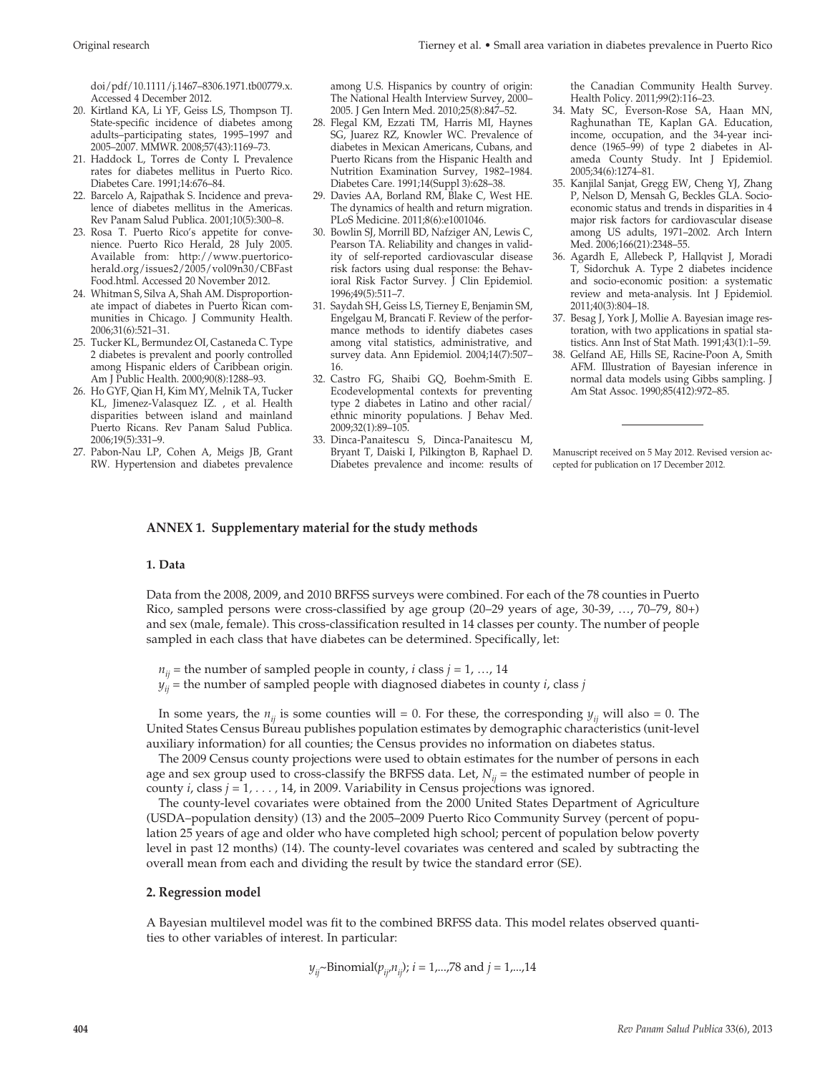doi/pdf/10.1111/j.1467–8306.1971.tb00779.x. Accessed 4 December 2012.

- 20. Kirtland KA, Li YF, Geiss LS, Thompson TJ. State-specific incidence of diabetes among adults–participating states, 1995–1997 and 2005–2007. MMWR. 2008;57(43):1169–73.
- 21. Haddock L, Torres de Conty I**.** Prevalence rates for diabetes mellitus in Puerto Rico. Diabetes Care. 1991;14:676–84.
- 22. Barcelo A, Rajpathak S. Incidence and prevalence of diabetes mellitus in the Americas. Rev Panam Salud Publica. 2001;10(5):300–8.
- 23. Rosa T. Puerto Rico's appetite for convenience. Puerto Rico Herald, 28 July 2005. Available from: http://www.puertoricoherald.org/issues2/2005/vol09n30/CBFast Food.html. Accessed 20 November 2012.
- 24. Whitman S, Silva A, Shah AM. Disproportionate impact of diabetes in Puerto Rican communities in Chicago. J Community Health. 2006;31(6):521–31.
- 25. Tucker KL, Bermundez OI, Castaneda C. Type 2 diabetes is prevalent and poorly controlled among Hispanic elders of Caribbean origin. Am J Public Health. 2000;90(8):1288–93.
- 26. Ho GYF, Qian H, Kim MY, Melnik TA, Tucker KL, Jimenez-Valasquez IZ. , et al. Health disparities between island and mainland Puerto Ricans. Rev Panam Salud Publica. 2006;19(5):331–9.
- 27. Pabon-Nau LP, Cohen A, Meigs JB, Grant RW. Hypertension and diabetes prevalence

among U.S. Hispanics by country of origin: The National Health Interview Survey, 2000– 2005. J Gen Intern Med. 2010;25(8):847–52.

- 28. Flegal KM, Ezzati TM, Harris MI, Haynes SG, Juarez RZ, Knowler WC. Prevalence of diabetes in Mexican Americans, Cubans, and Puerto Ricans from the Hispanic Health and Nutrition Examination Survey, 1982–1984. Diabetes Care. 1991;14(Suppl 3):628–38.
- 29. Davies AA, Borland RM, Blake C, West HE. The dynamics of health and return migration. PLoS Medicine. 2011;8(6):e1001046.
- 30. Bowlin SJ, Morrill BD, Nafziger AN, Lewis C, Pearson TA. Reliability and changes in validity of self-reported cardiovascular disease risk factors using dual response: the Behavioral Risk Factor Survey. J Clin Epidemiol. 1996;49(5):511–7.
- 31. Saydah SH, Geiss LS, Tierney E, Benjamin SM, Engelgau M, Brancati F. Review of the performance methods to identify diabetes cases among vital statistics, administrative, and survey data. Ann Epidemiol. 2004;14(7):507– 16.
- 32. Castro FG, Shaibi GQ, Boehm-Smith E. Ecodevelopmental contexts for preventing type 2 diabetes in Latino and other racial/ ethnic minority populations. J Behav Med. 2009;32(1):89–105.
- 33. Dinca-Panaitescu S, Dinca-Panaitescu M, Bryant T, Daiski I, Pilkington B, Raphael D. Diabetes prevalence and income: results of

the Canadian Community Health Survey. Health Policy. 2011;99(2):116–23.

- 34. Maty SC, Everson-Rose SA, Haan MN, Raghunathan TE, Kaplan GA. Education, income, occupation, and the 34-year incidence (1965–99) of type 2 diabetes in Alameda County Study. Int J Epidemiol. 2005;34(6):1274–81.
- 35. Kanjilal Sanjat, Gregg EW, Cheng YJ, Zhang P, Nelson D, Mensah G, Beckles GLA. Socioeconomic status and trends in disparities in 4 major risk factors for cardiovascular disease among US adults, 1971–2002. Arch Intern Med. 2006;166(21):2348–55.
- 36. Agardh E, Allebeck P, Hallqvist J, Moradi T, Sidorchuk A. Type 2 diabetes incidence and socio-economic position: a systematic review and meta-analysis. Int J Epidemiol. 2011;40(3):804–18.
- 37. Besag J, York J, Mollie A. Bayesian image restoration, with two applications in spatial statistics. Ann Inst of Stat Math. 1991;43(1):1–59.
- 38. Gelfand AE, Hills SE, Racine-Poon A, Smith AFM. Illustration of Bayesian inference in normal data models using Gibbs sampling. J Am Stat Assoc. 1990;85(412):972–85.

Manuscript received on 5 May 2012. Revised version accepted for publication on 17 December 2012.

# **ANNEX 1. Supplementary material for the study methods**

#### **1. Data**

Data from the 2008, 2009, and 2010 BRFSS surveys were combined. For each of the 78 counties in Puerto Rico, sampled persons were cross-classified by age group (20–29 years of age, 30-39, …, 70–79, 80+) and sex (male, female). This cross-classification resulted in 14 classes per county. The number of people sampled in each class that have diabetes can be determined. Specifically, let:

 $n_{ij}$  = the number of sampled people in county, *i* class *j* = 1, ..., 14

 $y_{ij}$  = the number of sampled people with diagnosed diabetes in county *i*, class *j* 

In some years, the  $n_{ii}$  is some counties will = 0. For these, the corresponding  $y_{ii}$  will also = 0. The United States Census Bureau publishes population estimates by demographic characteristics (unit-level auxiliary information) for all counties; the Census provides no information on diabetes status.

The 2009 Census county projections were used to obtain estimates for the number of persons in each age and sex group used to cross-classify the BRFSS data. Let,  $N_{ij}$  = the estimated number of people in county *i*, class *j* = 1*, . . . ,* 14, in 2009. Variability in Census projections was ignored.

The county-level covariates were obtained from the 2000 United States Department of Agriculture (USDA–population density) (13) and the 2005–2009 Puerto Rico Community Survey (percent of population 25 years of age and older who have completed high school; percent of population below poverty level in past 12 months) (14). The county-level covariates was centered and scaled by subtracting the overall mean from each and dividing the result by twice the standard error (SE).

### **2. Regression model**

A Bayesian multilevel model was fit to the combined BRFSS data. This model relates observed quantities to other variables of interest. In particular:

$$
y_{ij}
$$
~Binomial $(p_{ij}, n_{ij})$ ;  $i = 1, \ldots, 78$  and  $j = 1, \ldots, 14$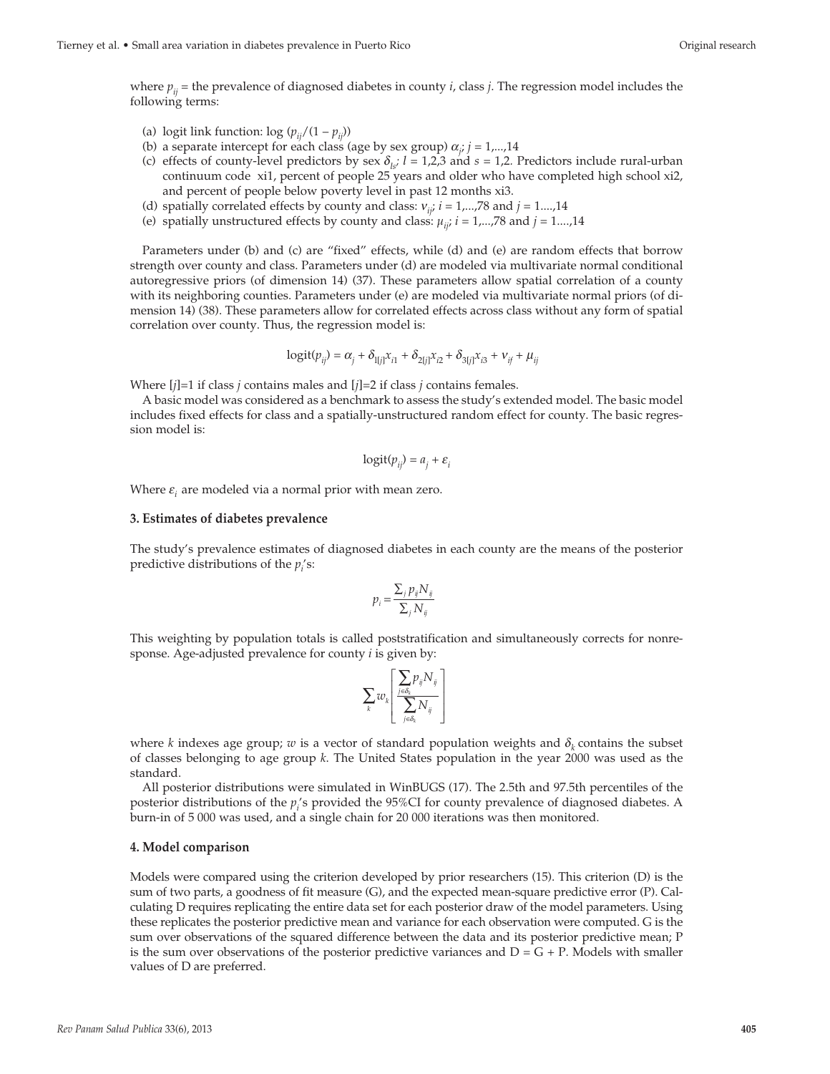where  $p_{ij}$  = the prevalence of diagnosed diabetes in county *i*, class *j*. The regression model includes the following terms:

(a) logit link function:  $\log (p_{ii}/(1-p_{ii}))$ 

- (b) a separate intercept for each class (age by sex group)  $\alpha_j$ ;  $j = 1,...,14$
- (c) effects of county-level predictors by sex  $\delta_{l,s}$ ; *l* = 1,2,3 and *s* = 1,2. Predictors include rural-urban continuum code xi1, percent of people 25 years and older who have completed high school xi2, and percent of people below poverty level in past 12 months xi3.
- (d) spatially correlated effects by county and class:  $v_{ji}$ ;  $i = 1,...,78$  and  $j = 1,...,14$
- (e) spatially unstructured effects by county and class:  $\mu_{ij}$ ;  $i = 1,...,78$  and  $j = 1,...,14$

Parameters under (b) and (c) are "fixed" effects, while (d) and (e) are random effects that borrow strength over county and class. Parameters under (d) are modeled via multivariate normal conditional autoregressive priors (of dimension 14) (37). These parameters allow spatial correlation of a county with its neighboring counties. Parameters under (e) are modeled via multivariate normal priors (of dimension 14) (38). These parameters allow for correlated effects across class without any form of spatial correlation over county. Thus, the regression model is:

$$
logit(p_{ij}) = \alpha_j + \delta_{1[j]}x_{i1} + \delta_{2[j]}x_{i2} + \delta_{3[j]}x_{i3} + v_{if} + \mu_{ij}
$$

Where [*j*]=1 if class *j* contains males and [*j*]=2 if class *j* contains females.

A basic model was considered as a benchmark to assess the study's extended model. The basic model includes fixed effects for class and a spatially-unstructured random effect for county. The basic regression model is:

$$
logit(p_{ij}) = a_j + \varepsilon_i
$$

Where  $\varepsilon$ <sub>*i*</sub> are modeled via a normal prior with mean zero.

#### **3. Estimates of diabetes prevalence**

The study's prevalence estimates of diagnosed diabetes in each county are the means of the posterior predictive distributions of the  $p_i$ 's:

$$
p_i = \frac{\sum_j p_{ij} N_{ij}}{\sum_j N_{ij}}
$$

This weighting by population totals is called poststratification and simultaneously corrects for nonresponse. Age-adjusted prevalence for county *i* is given by:

$$
\sum_k w_k \!\left[\frac{\sum\limits_{j \in \delta_k} \! p_{\bar{y}} N_{\bar{y}}}{\sum\limits_{j \in \delta_k} \! N_{\bar{y}}} \right]
$$

where *k* indexes age group; *w* is a vector of standard population weights and  $\delta_k$  contains the subset of classes belonging to age group *k*. The United States population in the year 2000 was used as the standard.

All posterior distributions were simulated in WinBUGS (17). The 2.5th and 97.5th percentiles of the posterior distributions of the  $p_i$ 's provided the 95%CI for county prevalence of diagnosed diabetes. A burn-in of 5 000 was used, and a single chain for 20 000 iterations was then monitored.

#### **4. Model comparison**

Models were compared using the criterion developed by prior researchers (15). This criterion (D) is the sum of two parts, a goodness of fit measure (G), and the expected mean-square predictive error (P). Calculating D requires replicating the entire data set for each posterior draw of the model parameters. Using these replicates the posterior predictive mean and variance for each observation were computed. G is the sum over observations of the squared difference between the data and its posterior predictive mean; P is the sum over observations of the posterior predictive variances and  $D = G + P$ . Models with smaller values of D are preferred.